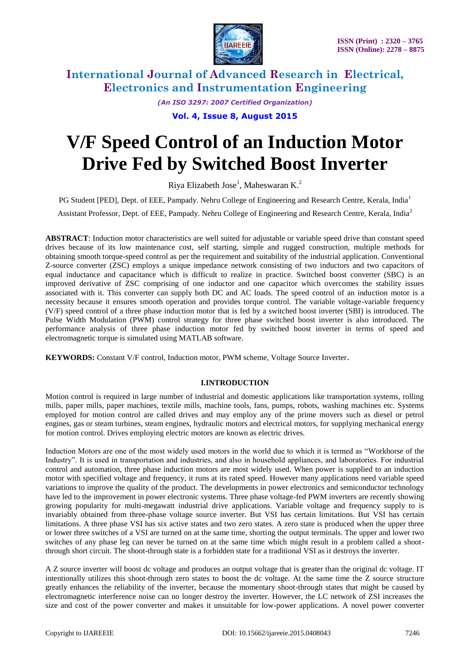

> *(An ISO 3297: 2007 Certified Organization)* **Vol. 4, Issue 8, August 2015**

# **V/F Speed Control of an Induction Motor Drive Fed by Switched Boost Inverter**

Riya Elizabeth Jose<sup>1</sup>, Maheswaran K.<sup>2</sup>

PG Student [PED], Dept. of EEE, Pampady. Nehru College of Engineering and Research Centre, Kerala, India<sup>1</sup>

Assistant Professor, Dept. of EEE, Pampady. Nehru College of Engineering and Research Centre, Kerala, India<sup>2</sup>

**ABSTRACT**: Induction motor characteristics are well suited for adjustable or variable speed drive than constant speed drives because of its low maintenance cost, self starting, simple and rugged construction, multiple methods for obtaining smooth torque-speed control as per the requirement and suitability of the industrial application. Conventional Z-source converter (ZSC) employs a unique impedance network consisting of two inductors and two capacitors of equal inductance and capacitance which is difficult to realize in practice. Switched boost converter (SBC) is an improved derivative of ZSC comprising of one inductor and one capacitor which overcomes the stability issues associated with it. This converter can supply both DC and AC loads. The speed control of an induction motor is a necessity because it ensures smooth operation and provides torque control. The variable voltage-variable frequency (V/F) speed control of a three phase induction motor that is fed by a switched boost inverter (SBI) is introduced. The Pulse Width Modulation (PWM) control strategy for three phase switched boost inverter is also introduced. The performance analysis of three phase induction motor fed by switched boost inverter in terms of speed and electromagnetic torque is simulated using MATLAB software.

**KEYWORDS:** Constant V/F control, Induction motor, PWM scheme, Voltage Source Inverter.

### **I.INTRODUCTION**

Motion control is required in large number of industrial and domestic applications like transportation systems, rolling mills, paper mills, paper machines, textile mills, machine tools, fans, pumps, robots, washing machines etc. Systems employed for motion control are called drives and may employ any of the prime movers such as diesel or petrol engines, gas or steam turbines, steam engines, hydraulic motors and electrical motors, for supplying mechanical energy for motion control. Drives employing electric motors are known as electric drives.

Induction Motors are one of the most widely used motors in the world due to which it is termed as "Workhorse of the Industry". It is used in transportation and industries, and also in household appliances, and laboratories. For industrial control and automation, three phase induction motors are most widely used. When power is supplied to an induction motor with specified voltage and frequency, it runs at its rated speed. However many applications need variable speed variations to improve the quality of the product. The developments in power electronics and semiconductor technology have led to the improvement in power electronic systems. Three phase voltage-fed PWM inverters are recently showing growing popularity for multi-megawatt industrial drive applications. Variable voltage and frequency supply to is invariably obtained from three-phase voltage source inverter. But VSI has certain limitations. But VSI has certain limitations. A three phase VSI has six active states and two zero states. A zero state is produced when the upper three or lower three switches of a VSI are turned on at the same time, shorting the output terminals. The upper and lower two switches of any phase leg can never be turned on at the same time which might result in a problem called a shootthrough short circuit. The shoot-through state is a forbidden state for a traditional VSI as it destroys the inverter.

A Z source inverter will boost dc voltage and produces an output voltage that is greater than the original dc voltage. IT intentionally utilizes this shoot-through zero states to boost the dc voltage. At the same time the Z source structure greatly enhances the reliability of the inverter, because the momentary shoot-through states that might be caused by electromagnetic interference noise can no longer destroy the inverter. However, the LC network of ZSI increases the size and cost of the power converter and makes it unsuitable for low-power applications. A novel power converter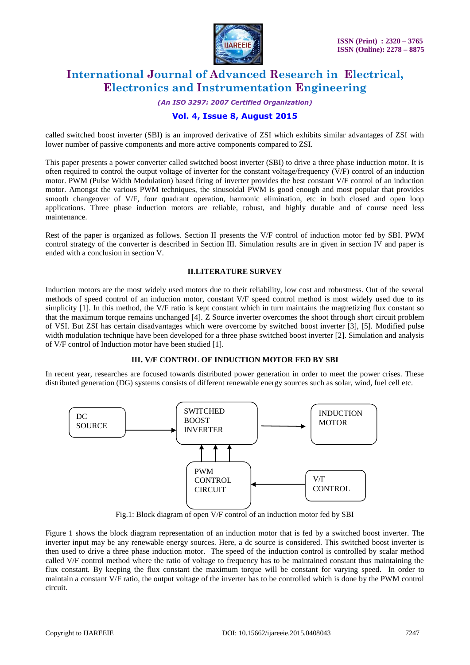

*(An ISO 3297: 2007 Certified Organization)*

# **Vol. 4, Issue 8, August 2015**

called switched boost inverter (SBI) is an improved derivative of ZSI which exhibits similar advantages of ZSI with lower number of passive components and more active components compared to ZSI.

This paper presents a power converter called switched boost inverter (SBI) to drive a three phase induction motor. It is often required to control the output voltage of inverter for the constant voltage/frequency (V/F) control of an induction motor. PWM (Pulse Width Modulation) based firing of inverter provides the best constant V/F control of an induction motor. Amongst the various PWM techniques, the sinusoidal PWM is good enough and most popular that provides smooth changeover of V/F, four quadrant operation, harmonic elimination, etc in both closed and open loop applications. Three phase induction motors are reliable, robust, and highly durable and of course need less maintenance.

Rest of the paper is organized as follows. Section II presents the V/F control of induction motor fed by SBI. PWM control strategy of the converter is described in Section III. Simulation results are in given in section IV and paper is ended with a conclusion in section V.

### **II.LITERATURE SURVEY**

Induction motors are the most widely used motors due to their reliability, low cost and robustness. Out of the several methods of speed control of an induction motor, constant V/F speed control method is most widely used due to its simplicity [1]. In this method, the V/F ratio is kept constant which in turn maintains the magnetizing flux constant so that the maximum torque remains unchanged [4]. Z Source inverter overcomes the shoot through short circuit problem of VSI. But ZSI has certain disadvantages which were overcome by switched boost inverter [3], [5]. Modified pulse width modulation technique have been developed for a three phase switched boost inverter [2]. Simulation and analysis of V/F control of Induction motor have been studied [1].

### **III. V/F CONTROL OF INDUCTION MOTOR FED BY SBI**

In recent year, researches are focused towards distributed power generation in order to meet the power crises. These distributed generation (DG) systems consists of different renewable energy sources such as solar, wind, fuel cell etc.



Fig.1: Block diagram of open V/F control of an induction motor fed by SBI

Figure 1 shows the block diagram representation of an induction motor that is fed by a switched boost inverter. The inverter input may be any renewable energy sources. Here, a dc source is considered. This switched boost inverter is then used to drive a three phase induction motor. The speed of the induction control is controlled by scalar method called V/F control method where the ratio of voltage to frequency has to be maintained constant thus maintaining the flux constant. By keeping the flux constant the maximum torque will be constant for varying speed. In order to maintain a constant V/F ratio, the output voltage of the inverter has to be controlled which is done by the PWM control circuit.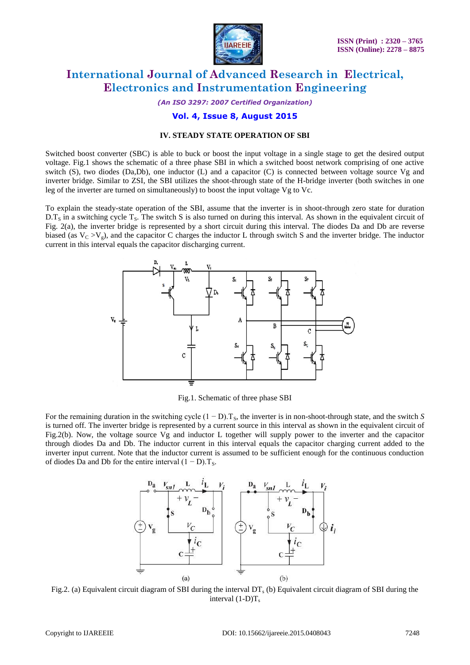

*(An ISO 3297: 2007 Certified Organization)*

# **Vol. 4, Issue 8, August 2015**

### **IV. STEADY STATE OPERATION OF SBI**

Switched boost converter (SBC) is able to buck or boost the input voltage in a single stage to get the desired output voltage. Fig.1 shows the schematic of a three phase SBI in which a switched boost network comprising of one active switch (S), two diodes (Da,Db), one inductor (L) and a capacitor (C) is connected between voltage source Vg and inverter bridge. Similar to ZSI, the SBI utilizes the shoot-through state of the H-bridge inverter (both switches in one leg of the inverter are turned on simultaneously) to boost the input voltage Vg to Vc.

To explain the steady-state operation of the SBI, assume that the inverter is in shoot-through zero state for duration  $D.T_s$  in a switching cycle T<sub>s</sub>. The switch S is also turned on during this interval. As shown in the equivalent circuit of Fig. 2(a), the inverter bridge is represented by a short circuit during this interval. The diodes Da and Db are reverse biased (as  $V_C > V_g$ ), and the capacitor C charges the inductor L through switch S and the inverter bridge. The inductor current in this interval equals the capacitor discharging current.



Fig.1. Schematic of three phase SBI

For the remaining duration in the switching cycle  $(1 - D)$ . T<sub>s</sub>, the inverter is in non-shoot-through state, and the switch *S* is turned off. The inverter bridge is represented by a current source in this interval as shown in the equivalent circuit of Fig.2(b). Now, the voltage source Vg and inductor L together will supply power to the inverter and the capacitor through diodes Da and Db. The inductor current in this interval equals the capacitor charging current added to the inverter input current. Note that the inductor current is assumed to be sufficient enough for the continuous conduction of diodes Da and Db for the entire interval  $(1 - D)$ . T<sub>s</sub>.



Fig.2. (a) Equivalent circuit diagram of SBI during the interval  $DT_s$  (b) Equivalent circuit diagram of SBI during the interval  $(1-D)T_s$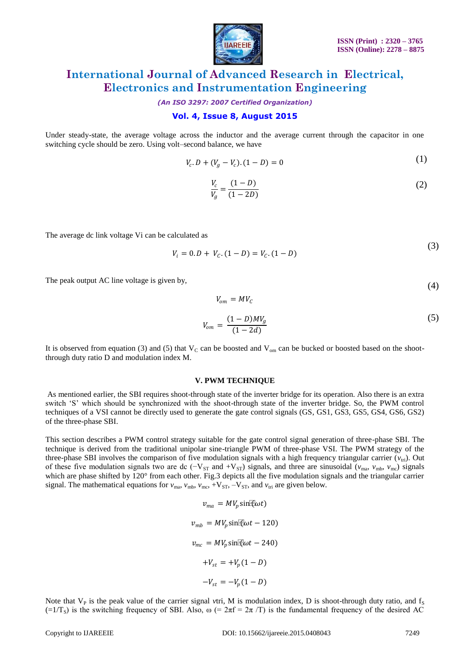

*(An ISO 3297: 2007 Certified Organization)*

# **Vol. 4, Issue 8, August 2015**

Under steady-state, the average voltage across the inductor and the average current through the capacitor in one switching cycle should be zero. Using volt–second balance, we have

$$
V_c \cdot D + (V_g - V_c) \cdot (1 - D) = 0 \tag{1}
$$

$$
\frac{V_c}{V_g} = \frac{(1 - D)}{(1 - 2D)}\tag{2}
$$

The average dc link voltage Vi can be calculated as

$$
V_i = 0.D + V_c.(1 - D) = V_c.(1 - D)
$$
\n(3)

The peak output AC line voltage is given by,

$$
V_{\rm om} = M V_C
$$

$$
V_{om} = \frac{(1 - D)MV_g}{(1 - 2d)}\tag{5}
$$

It is observed from equation (3) and (5) that  $V_C$  can be boosted and  $V_{om}$  can be bucked or boosted based on the shootthrough duty ratio D and modulation index M.

#### **V. PWM TECHNIQUE**

As mentioned earlier, the SBI requires shoot-through state of the inverter bridge for its operation. Also there is an extra switch "S" which should be synchronized with the shoot-through state of the inverter bridge. So, the PWM control techniques of a VSI cannot be directly used to generate the gate control signals (GS, GS1, GS3, GS5, GS4, GS6, GS2) of the three-phase SBI.

This section describes a PWM control strategy suitable for the gate control signal generation of three-phase SBI. The technique is derived from the traditional unipolar sine-triangle PWM of three-phase VSI. The PWM strategy of the three-phase SBI involves the comparison of five modulation signals with a high frequency triangular carrier  $(v_{\text{tri}})$ . Out of these five modulation signals two are dc ( $-V_{ST}$  and  $+V_{ST}$ ) signals, and three are sinusoidal ( $v_{\text{ma}}$ ,  $v_{\text{mb}}$ ,  $v_{\text{mc}}$ ) signals which are phase shifted by 120° from each other. Fig.3 depicts all the five modulation signals and the triangular carrier signal. The mathematical equations for  $v_{\text{ma}}$ ,  $v_{\text{mb}}$ ,  $v_{\text{mc}}$ ,  $+V_{ST}$ ,  $-V_{ST}$ , and  $v_{\text{tri}}$  are given below.

> $v_{ma} = MV_n \sin(\omega t)$  $v_{mb} = MV_n \sin(\omega t - 120)$  $v_{mc} = MV_p \sin(k\omega t - 240)$  $+V_{st} = +V_n(1 - D)$  $-V_{st} = -V_n(1 - D)$

Note that  $V_P$  is the peak value of the carrier signal *v*tri, M is modulation index, D is shoot-through duty ratio, and  $f_S$  $(=1/T<sub>S</sub>)$  is the switching frequency of SBI. Also,  $\omega$  (=  $2\pi f = 2\pi/T$ ) is the fundamental frequency of the desired AC

(4)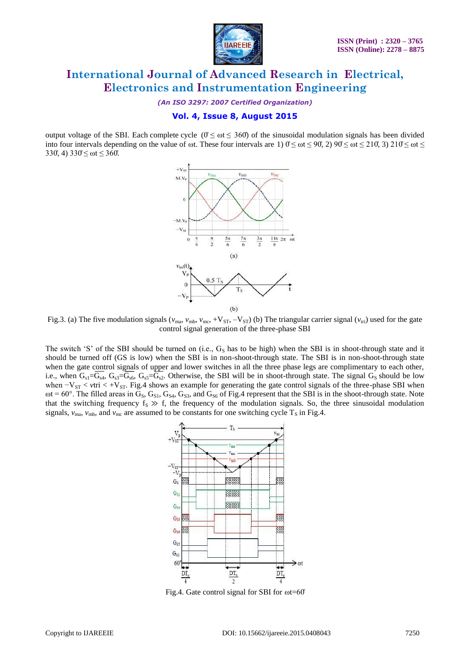

*(An ISO 3297: 2007 Certified Organization)*

# **Vol. 4, Issue 8, August 2015**

output voltage of the SBI. Each complete cycle  $(0 \le \omega t \le 360)$  of the sinusoidal modulation signals has been divided into four intervals depending on the value of  $\omega$ t. These four intervals are 1)  $0 \le \omega t \le 90$ , 2)  $90 \le \omega t \le 210$ , 3)  $210 \le \omega t \le$ 330°, 4)  $330 \le \omega t \le 360$ .



Fig.3. (a) The five modulation signals ( $v_{\text{ma}}$ ,  $v_{\text{mb}}$ ,  $v_{\text{mc}}$ , +V<sub>ST</sub>, -V<sub>ST</sub>) (b) The triangular carrier signal ( $v_{\text{tri}}$ ) used for the gate control signal generation of the three-phase SBI

The switch 'S' of the SBI should be turned on (i.e.,  $G_S$  has to be high) when the SBI is in shoot-through state and it should be turned off (GS is low) when the SBI is in non-shoot-through state. The SBI is in non-shoot-through state when the gate control signals of upper and lower switches in all the three phase legs are complimentary to each other, i.e., when  $G_{s1}=G_{sd}$ ,  $G_{s3}=G_{sd}$ ,  $G_{s5}=G_{s2}$ . Otherwise, the SBI will be in shoot-through state. The signal  $G_{s}$  should be low when  $-V_{ST}$  < *v*tri < +V<sub>ST</sub>. Fig.4 shows an example for generating the gate control signals of the three-phase SBI when  $\omega t = 60^\circ$ . The filled areas in  $G_S$ ,  $G_{S1}$ ,  $G_{S4}$ ,  $G_{S3}$ , and  $G_{S6}$  of Fig.4 represent that the SBI is in the shoot-through state. Note that the switching frequency  $f_S \gg f$ , the frequency of the modulation signals. So, the three sinusoidal modulation signals,  $v_{\text{ma}}$ ,  $v_{\text{mb}}$ , and  $v_{\text{mc}}$  are assumed to be constants for one switching cycle  $T_s$  in Fig.4.



Fig.4. Gate control signal for SBI for  $\omega t = 60^\circ$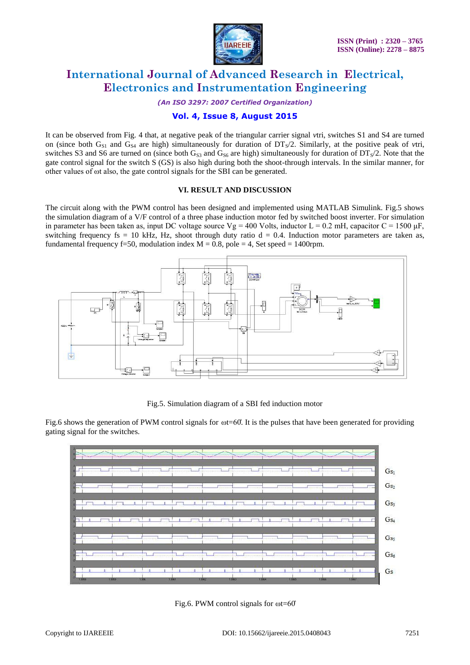

*(An ISO 3297: 2007 Certified Organization)*

# **Vol. 4, Issue 8, August 2015**

It can be observed from Fig. 4 that, at negative peak of the triangular carrier signal *v*tri, switches S1 and S4 are turned on (since both G<sub>S1</sub> and G<sub>S4</sub> are high) simultaneously for duration of  $DTs/2$ . Similarly, at the positive peak of *v*tri, switches S3 and S6 are turned on (since both  $G_{S3}$  and  $G_{S6}$  are high) simultaneously for duration of DT<sub>S</sub>/2. Note that the gate control signal for the switch S (GS) is also high during both the shoot-through intervals. In the similar manner, for other values of ωt also, the gate control signals for the SBI can be generated.

### **VI. RESULT AND DISCUSSION**

The circuit along with the PWM control has been designed and implemented using MATLAB Simulink. Fig.5 shows the simulation diagram of a V/F control of a three phase induction motor fed by switched boost inverter. For simulation in parameter has been taken as, input DC voltage source  $Vg = 400$  Volts, inductor L = 0.2 mH, capacitor C = 1500  $\mu$ F, switching frequency fs = 10 kHz, Hz, shoot through duty ratio  $d = 0.4$ . Induction motor parameters are taken as, fundamental frequency f=50, modulation index  $M = 0.8$ , pole = 4, Set speed = 1400rpm.



Fig.5. Simulation diagram of a SBI fed induction motor

Fig.6 shows the generation of PWM control signals for  $\omega$ t=60°. It is the pulses that have been generated for providing gating signal for the switches.



Fig.6. PWM control signals for ωt=60̊